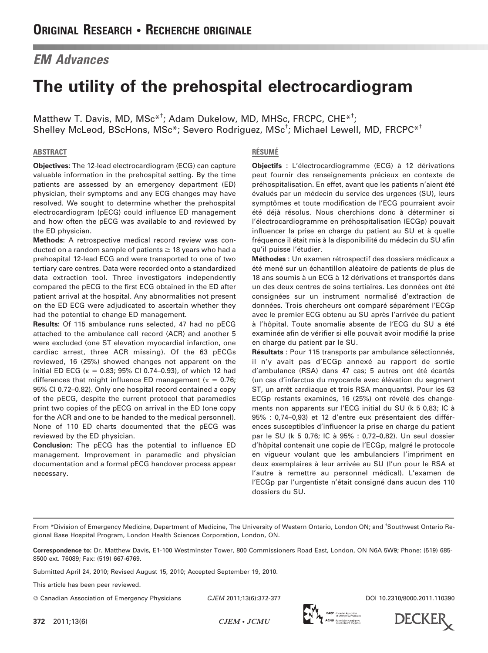# EM Advances

# The utility of the prehospital electrocardiogram

Matthew T. Davis, MD, MSc<sup>\*†</sup>; Adam Dukelow, MD, MHSc, FRCPC, CHE<sup>\*†</sup>; Shelley McLeod, BScHons, MSc\*; Severo Rodriguez, MSc<sup>t</sup>; Michael Lewell, MD, FRCPC\*<sup>†</sup>

### ABSTRACT

Objectives: The 12-lead electrocardiogram (ECG) can capture valuable information in the prehospital setting. By the time patients are assessed by an emergency department (ED) physician, their symptoms and any ECG changes may have resolved. We sought to determine whether the prehospital electrocardiogram (pECG) could influence ED management and how often the pECG was available to and reviewed by the ED physician.

Methods: A retrospective medical record review was conducted on a random sample of patients  $\geq$  18 years who had a prehospital 12-lead ECG and were transported to one of two tertiary care centres. Data were recorded onto a standardized data extraction tool. Three investigators independently compared the pECG to the first ECG obtained in the ED after patient arrival at the hospital. Any abnormalities not present on the ED ECG were adjudicated to ascertain whether they had the potential to change ED management.

Results: Of 115 ambulance runs selected, 47 had no pECG attached to the ambulance call record (ACR) and another 5 were excluded (one ST elevation myocardial infarction, one cardiac arrest, three ACR missing). Of the 63 pECGs reviewed, 16 (25%) showed changes not apparent on the initial ED ECG ( $\kappa = 0.83$ ; 95% CI 0.74–0.93), of which 12 had differences that might influence ED management ( $\kappa = 0.76$ ; 95% CI 0.72–0.82). Only one hospital record contained a copy of the pECG, despite the current protocol that paramedics print two copies of the pECG on arrival in the ED (one copy for the ACR and one to be handed to the medical personnel). None of 110 ED charts documented that the pECG was reviewed by the ED physician.

Conclusion: The pECG has the potential to influence ED management. Improvement in paramedic and physician documentation and a formal pECG handover process appear necessary.

### **RÉSUMÉ**

**Objectifs** : L'électrocardiogramme (ECG) à 12 dérivations peut fournir des renseignements précieux en contexte de préhospitalisation. En effet, avant que les patients n'aient été évalués par un médecin du service des urgences (SU), leurs symptômes et toute modification de l'ECG pourraient avoir été déjà résolus. Nous cherchions donc à déterminer si l'électrocardiogramme en préhospitalisation (ECGp) pouvait influencer la prise en charge du patient au SU et à quelle fréquence il était mis à la disponibilité du médecin du SU afin qu'il puisse l'étudier.

Méthodes : Un examen rétrospectif des dossiers médicaux a été mené sur un échantillon aléatoire de patients de plus de 18 ans soumis à un ECG à 12 dérivations et transportés dans un des deux centres de soins tertiaires. Les données ont été consignées sur un instrument normalisé d'extraction de données. Trois chercheurs ont comparé séparément l'ECGp avec le premier ECG obtenu au SU après l'arrivée du patient à l'hôpital. Toute anomalie absente de l'ECG du SU a été examinée afin de vérifier si elle pouvait avoir modifié la prise en charge du patient par le SU.

Résultats : Pour 115 transports par ambulance sélectionnés, il n'y avait pas d'ECGp annexé au rapport de sortie d'ambulance (RSA) dans 47 cas; 5 autres ont été écartés (un cas d'infarctus du myocarde avec élévation du segment ST, un arrêt cardiaque et trois RSA manquants). Pour les 63 ECGp restants examinés, 16 (25%) ont révélé des changements non apparents sur l'ECG initial du SU (k 5 0,83; IC à 95% : 0,74-0,93) et 12 d'entre eux présentaient des différences susceptibles d'influencer la prise en charge du patient par le SU (k 5 0,76; IC à 95% : 0,72-0,82). Un seul dossier d'hôpital contenait une copie de l'ECGp, malgré le protocole en vigueur voulant que les ambulanciers l'impriment en deux exemplaires à leur arrivée au SU (l'un pour le RSA et l'autre à remettre au personnel médical). L'examen de l'ECGp par l'urgentiste n'était consigné dans aucun des 110 dossiers du SU.

From \*Division of Emergency Medicine, Department of Medicine, The University of Western Ontario, London ON; and <sup>†</sup>Southwest Ontario Regional Base Hospital Program, London Health Sciences Corporation, London, ON.

Correspondence to: Dr. Matthew Davis, E1-100 Westminster Tower, 800 Commissioners Road East, London, ON N6A 5W9; Phone: (519) 685- 8500 ext. 76089; Fax: (519) 667-6769.

Submitted April 24, 2010; Revised August 15, 2010; Accepted September 19, 2010.

This article has been peer reviewed.

- Canadian Association of Emergency Physicians DOI 10.2310/8000.2011.110390 CJEM 2011;13(6):372-377



**DECKER** 

372 2011;13(6) CJEM • JCMU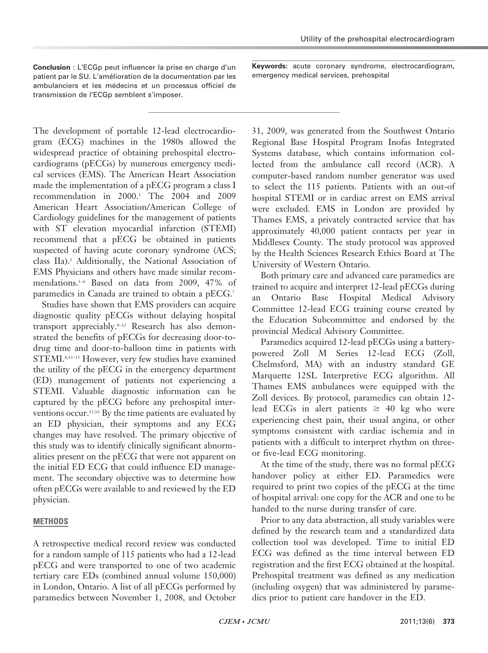Conclusion : L'ECGp peut influencer la prise en charge d'un patient par le SU. L'amélioration de la documentation par les ambulanciers et les médecins et un processus officiel de transmission de l'ECGp semblent s'imposer.

Keywords: acute coronary syndrome, electrocardiogram, emergency medical services, prehospital

The development of portable 12-lead electrocardiogram (ECG) machines in the 1980s allowed the widespread practice of obtaining prehospital electrocardiograms (pECGs) by numerous emergency medical services (EMS). The American Heart Association made the implementation of a pECG program a class I recommendation in 2000.<sup>1</sup> The 2004 and 2009 American Heart Association/American College of Cardiology guidelines for the management of patients with ST elevation myocardial infarction (STEMI) recommend that a pECG be obtained in patients suspected of having acute coronary syndrome (ACS; class IIa).<sup>2</sup> Additionally, the National Association of EMS Physicians and others have made similar recommendations.3–6 Based on data from 2009, 47% of paramedics in Canada are trained to obtain a pECG.<sup>7</sup>

Studies have shown that EMS providers can acquire diagnostic quality pECGs without delaying hospital transport appreciably.8–12 Research has also demonstrated the benefits of pECGs for decreasing door-todrug time and door-to-balloon time in patients with STEMI.8,13–15 However, very few studies have examined the utility of the pECG in the emergency department (ED) management of patients not experiencing a STEMI. Valuable diagnostic information can be captured by the pECG before any prehospital interventions occur.12,16 By the time patients are evaluated by an ED physician, their symptoms and any ECG changes may have resolved. The primary objective of this study was to identify clinically significant abnormalities present on the pECG that were not apparent on the initial ED ECG that could influence ED management. The secondary objective was to determine how often pECGs were available to and reviewed by the ED physician.

# METHODS

A retrospective medical record review was conducted for a random sample of 115 patients who had a 12-lead pECG and were transported to one of two academic tertiary care EDs (combined annual volume 150,000) in London, Ontario. A list of all pECGs performed by paramedics between November 1, 2008, and October

31, 2009, was generated from the Southwest Ontario Regional Base Hospital Program Inofas Integrated Systems database, which contains information collected from the ambulance call record (ACR). A computer-based random number generator was used to select the 115 patients. Patients with an out-of hospital STEMI or in cardiac arrest on EMS arrival were excluded. EMS in London are provided by Thames EMS, a privately contracted service that has approximately 40,000 patient contacts per year in Middlesex County. The study protocol was approved by the Health Sciences Research Ethics Board at The University of Western Ontario.

Both primary care and advanced care paramedics are trained to acquire and interpret 12-lead pECGs during an Ontario Base Hospital Medical Advisory Committee 12-lead ECG training course created by the Education Subcommittee and endorsed by the provincial Medical Advisory Committee.

Paramedics acquired 12-lead pECGs using a batterypowered Zoll M Series 12-lead ECG (Zoll, Chelmsford, MA) with an industry standard GE Marquette 12SL Interpretive ECG algorithm. All Thames EMS ambulances were equipped with the Zoll devices. By protocol, paramedics can obtain 12 lead ECGs in alert patients  $\geq$  40 kg who were experiencing chest pain, their usual angina, or other symptoms consistent with cardiac ischemia and in patients with a difficult to interpret rhythm on threeor five-lead ECG monitoring.

At the time of the study, there was no formal pECG handover policy at either ED. Paramedics were required to print two copies of the pECG at the time of hospital arrival: one copy for the ACR and one to be handed to the nurse during transfer of care.

Prior to any data abstraction, all study variables were defined by the research team and a standardized data collection tool was developed. Time to initial ED ECG was defined as the time interval between ED registration and the first ECG obtained at the hospital. Prehospital treatment was defined as any medication (including oxygen) that was administered by paramedics prior to patient care handover in the ED.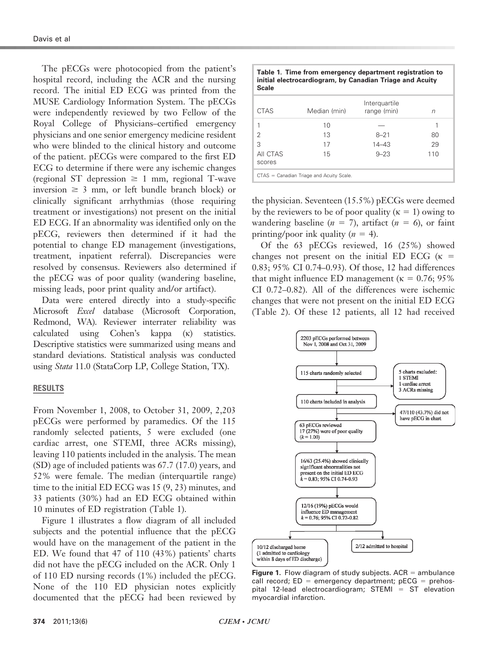The pECGs were photocopied from the patient's hospital record, including the ACR and the nursing record. The initial ED ECG was printed from the MUSE Cardiology Information System. The pECGs were independently reviewed by two Fellow of the Royal College of Physicians–certified emergency physicians and one senior emergency medicine resident who were blinded to the clinical history and outcome of the patient. pECGs were compared to the first ED ECG to determine if there were any ischemic changes (regional ST depression  $\geq 1$  mm, regional T-wave inversion  $\geq$  3 mm, or left bundle branch block) or clinically significant arrhythmias (those requiring treatment or investigations) not present on the initial ED ECG. If an abnormality was identified only on the pECG, reviewers then determined if it had the potential to change ED management (investigations, treatment, inpatient referral). Discrepancies were resolved by consensus. Reviewers also determined if the pECG was of poor quality (wandering baseline, missing leads, poor print quality and/or artifact).

Data were entered directly into a study-specific Microsoft Excel database (Microsoft Corporation, Redmond, WA). Reviewer interrater reliability was calculated using Cohen's kappa (k) statistics. Descriptive statistics were summarized using means and standard deviations. Statistical analysis was conducted using Stata 11.0 (StataCorp LP, College Station, TX).

#### RESULTS

From November 1, 2008, to October 31, 2009, 2,203 pECGs were performed by paramedics. Of the 115 randomly selected patients, 5 were excluded (one cardiac arrest, one STEMI, three ACRs missing), leaving 110 patients included in the analysis. The mean (SD) age of included patients was 67.7 (17.0) years, and 52% were female. The median (interquartile range) time to the initial ED ECG was 15 (9, 23) minutes, and 33 patients (30%) had an ED ECG obtained within 10 minutes of ED registration (Table 1).

Figure 1 illustrates a flow diagram of all included subjects and the potential influence that the pECG would have on the management of the patient in the ED. We found that 47 of 110 (43%) patients' charts did not have the pECG included on the ACR. Only 1 of 110 ED nursing records (1%) included the pECG. None of the 110 ED physician notes explicitly documented that the pECG had been reviewed by

| Table 1. Time from emergency department registration to<br>initial electrocardiogram, by Canadian Triage and Acuity<br>Scale |              |                              |     |  |  |  |
|------------------------------------------------------------------------------------------------------------------------------|--------------|------------------------------|-----|--|--|--|
| CTAS                                                                                                                         | Median (min) | Interguartile<br>range (min) | n   |  |  |  |
|                                                                                                                              | 10           |                              |     |  |  |  |
| 2                                                                                                                            | 13           | $8 - 21$                     | 80  |  |  |  |
| 3                                                                                                                            | 17           | $14 - 43$                    | 29  |  |  |  |
| AII CTAS<br>scores                                                                                                           | 15           | $9 - 23$                     | 110 |  |  |  |

 $CTAS =$  Canadian Triage and Acuity Scale

the physician. Seventeen (15.5%) pECGs were deemed by the reviewers to be of poor quality  $(\kappa = 1)$  owing to wandering baseline ( $n = 7$ ), artifact ( $n = 6$ ), or faint printing/poor ink quality  $(n = 4)$ .

Of the 63 pECGs reviewed, 16 (25%) showed changes not present on the initial ED ECG  $(\kappa =$ 0.83; 95% CI 0.74–0.93). Of those, 12 had differences that might influence ED management ( $\kappa = 0.76$ ; 95% CI 0.72–0.82). All of the differences were ischemic changes that were not present on the initial ED ECG (Table 2). Of these 12 patients, all 12 had received



Figure 1. Flow diagram of study subjects.  $ACR =$  ambulance call record;  $ED =$  emergency department; pECG = prehospital 12-lead electrocardiogram; STEMI =  $ST$  elevation myocardial infarction.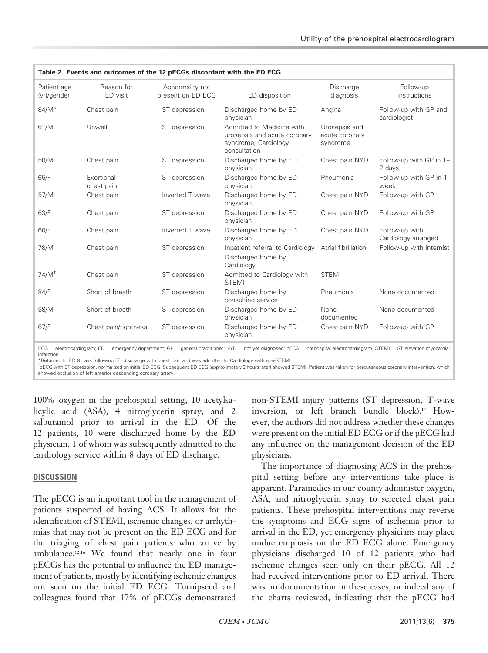| Table 2. Events and outcomes of the 12 pECGs discordant with the ED ECG |                          |                                      |                                                                                                                                                                                                                                                                                              |                                             |                                       |  |  |
|-------------------------------------------------------------------------|--------------------------|--------------------------------------|----------------------------------------------------------------------------------------------------------------------------------------------------------------------------------------------------------------------------------------------------------------------------------------------|---------------------------------------------|---------------------------------------|--|--|
| Patient age<br>(yr)/gender                                              | Reason for<br>ED visit   | Abnormality not<br>present on ED ECG | ED disposition                                                                                                                                                                                                                                                                               | Discharge<br>diagnosis                      | Follow-up<br>instructions             |  |  |
| 84/M*                                                                   | Chest pain               | ST depression                        | Discharged home by ED<br>physician                                                                                                                                                                                                                                                           | Angina                                      | Follow-up with GP and<br>cardiologist |  |  |
| 61/M                                                                    | Unwell                   | ST depression                        | Admitted to Medicine with<br>urosepsis and acute coronary<br>syndrome, Cardiology<br>consultation                                                                                                                                                                                            | Urosepsis and<br>acute coronary<br>syndrome |                                       |  |  |
| 50/M                                                                    | Chest pain               | ST depression                        | Discharged home by ED<br>physician                                                                                                                                                                                                                                                           | Chest pain NYD                              | Follow-up with GP in 1-<br>2 days     |  |  |
| 65/F                                                                    | Exertional<br>chest pain | ST depression                        | Discharged home by ED<br>physician                                                                                                                                                                                                                                                           | Pneumonia                                   | Follow-up with GP in 1<br>week        |  |  |
| 57/M                                                                    | Chest pain               | Inverted T wave                      | Discharged home by ED<br>physician                                                                                                                                                                                                                                                           | Chest pain NYD                              | Follow-up with GP                     |  |  |
| 63/F                                                                    | Chest pain               | ST depression                        | Discharged home by ED<br>physician                                                                                                                                                                                                                                                           | Chest pain NYD                              | Follow-up with GP                     |  |  |
| 60/F                                                                    | Chest pain               | Inverted T wave                      | Discharged home by ED<br>physician                                                                                                                                                                                                                                                           | Chest pain NYD                              | Follow-up with<br>Cardiology arranged |  |  |
| 78/M                                                                    | Chest pain               | ST depression                        | Inpatient referral to Cardiology<br>Discharged home by<br>Cardiology                                                                                                                                                                                                                         | Atrial fibrillation                         | Follow-up with internist              |  |  |
| $74/M^{\dagger}$                                                        | Chest pain               | ST depression                        | Admitted to Cardiology with<br><b>STEMI</b>                                                                                                                                                                                                                                                  | <b>STEMI</b>                                |                                       |  |  |
| 84/F                                                                    | Short of breath          | ST depression                        | Discharged home by<br>consulting service                                                                                                                                                                                                                                                     | Pneumonia                                   | None documented                       |  |  |
| 58/M                                                                    | Short of breath          | ST depression                        | Discharged home by ED<br>physician                                                                                                                                                                                                                                                           | None<br>documented                          | None documented                       |  |  |
| 67/F                                                                    | Chest pain/tightness     | ST depression                        | Discharged home by ED<br>physician                                                                                                                                                                                                                                                           | Chest pain NYD                              | Follow-up with GP                     |  |  |
| infarction.                                                             |                          |                                      | ECG = electrocardiogram; ED = emergency department; GP = general practitioner; NYD = not yet diagnosed; pECG = prehospital electrocardiogram; STEMI = ST elevation myocardial<br>*Beturned to ED 8 days following ED discharge with chest pain and was admitted to Cardiology with non-STEML |                                             |                                       |  |  |

\*Returned to ED 8 days following ED discharge with chest pain and was admitted to Cardiology with non-STEMI.

<sup>t</sup>pECG with ST depression, normalized on initial ED ECG. Subsequent ED ECG (approximately 2 hours later) showed STEMI. Patient was taken for percutaneous coronary intervention, which showed occlusion of left anterior descending coronary artery.

100% oxygen in the prehospital setting, 10 acetylsalicylic acid (ASA), 4 nitroglycerin spray, and 2 salbutamol prior to arrival in the ED. Of the 12 patients, 10 were discharged home by the ED physician, 1 of whom was subsequently admitted to the cardiology service within 8 days of ED discharge.

# DISCUSSION

The pECG is an important tool in the management of patients suspected of having ACS. It allows for the identification of STEMI, ischemic changes, or arrhythmias that may not be present on the ED ECG and for the triaging of chest pain patients who arrive by ambulance.12,16 We found that nearly one in four pECGs has the potential to influence the ED management of patients, mostly by identifying ischemic changes not seen on the initial ED ECG. Turnipseed and colleagues found that 17% of pECGs demonstrated

non-STEMI injury patterns (ST depression, T-wave inversion, or left branch bundle block).12 However, the authors did not address whether these changes were present on the initial ED ECG or if the pECG had any influence on the management decision of the ED physicians.

The importance of diagnosing ACS in the prehospital setting before any interventions take place is apparent. Paramedics in our county administer oxygen, ASA, and nitroglycerin spray to selected chest pain patients. These prehospital interventions may reverse the symptoms and ECG signs of ischemia prior to arrival in the ED, yet emergency physicians may place undue emphasis on the ED ECG alone. Emergency physicians discharged 10 of 12 patients who had ischemic changes seen only on their pECG. All 12 had received interventions prior to ED arrival. There was no documentation in these cases, or indeed any of the charts reviewed, indicating that the pECG had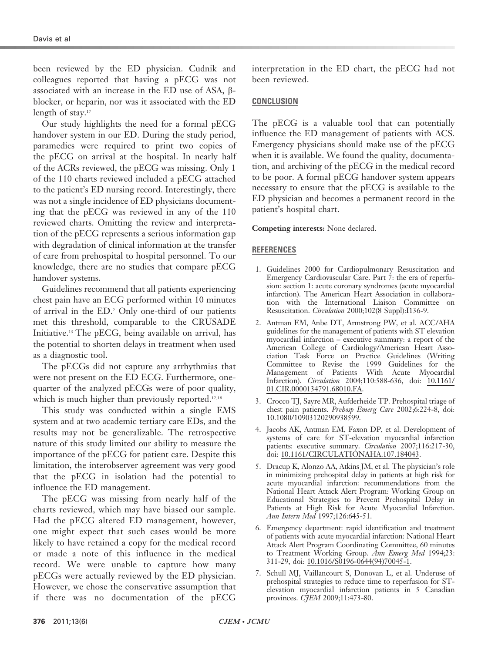been reviewed by the ED physician. Cudnik and colleagues reported that having a pECG was not associated with an increase in the ED use of ASA,  $\beta$ blocker, or heparin, nor was it associated with the ED length of stay.<sup>17</sup>

Our study highlights the need for a formal pECG handover system in our ED. During the study period, paramedics were required to print two copies of the pECG on arrival at the hospital. In nearly half of the ACRs reviewed, the pECG was missing. Only 1 of the 110 charts reviewed included a pECG attached to the patient's ED nursing record. Interestingly, there was not a single incidence of ED physicians documenting that the pECG was reviewed in any of the 110 reviewed charts. Omitting the review and interpretation of the pECG represents a serious information gap with degradation of clinical information at the transfer of care from prehospital to hospital personnel. To our knowledge, there are no studies that compare pECG handover systems.

Guidelines recommend that all patients experiencing chest pain have an ECG performed within 10 minutes of arrival in the ED.2 Only one-third of our patients met this threshold, comparable to the CRUSADE Initiative.13 The pECG, being available on arrival, has the potential to shorten delays in treatment when used as a diagnostic tool.

The pECGs did not capture any arrhythmias that were not present on the ED ECG. Furthermore, onequarter of the analyzed pECGs were of poor quality, which is much higher than previously reported.<sup>12,18</sup>

This study was conducted within a single EMS system and at two academic tertiary care EDs, and the results may not be generalizable. The retrospective nature of this study limited our ability to measure the importance of the pECG for patient care. Despite this limitation, the interobserver agreement was very good that the pECG in isolation had the potential to influence the ED management.

The pECG was missing from nearly half of the charts reviewed, which may have biased our sample. Had the pECG altered ED management, however, one might expect that such cases would be more likely to have retained a copy for the medical record or made a note of this influence in the medical record. We were unable to capture how many pECGs were actually reviewed by the ED physician. However, we chose the conservative assumption that if there was no documentation of the pECG

interpretation in the ED chart, the pECG had not been reviewed.

# **CONCLUSION**

The pECG is a valuable tool that can potentially influence the ED management of patients with ACS. Emergency physicians should make use of the pECG when it is available. We found the quality, documentation, and archiving of the pECG in the medical record to be poor. A formal pECG handover system appears necessary to ensure that the pECG is available to the ED physician and becomes a permanent record in the patient's hospital chart.

Competing interests: None declared.

# REFERENCES

- 1. Guidelines 2000 for Cardiopulmonary Resuscitation and Emergency Cardiovascular Care. Part 7: the era of reperfusion: section 1: acute coronary syndromes (acute myocardial infarction). The American Heart Association in collaboration with the International Liaison Committee on Resuscitation. Circulation 2000;102(8 Suppl):I136-9.
- 2. Antman EM, Anbe DT, Armstrong PW, et al. ACC/AHA guidelines for the management of patients with ST elevation myocardial infarction – executive summary: a report of the American College of Cardiology/American Heart Association [Task Force on Practice G](http://dx.doi.org/10.1161%2F01.CIR.0000134791.68010.FA)uidelines (Writing Committee to Revise the 1999 Guidelines for the Management of Patients With Acute Myocardial Infarction). Circulation 2004;110:588-636, doi: 10.1161/ 01.CIR.[0000134791.68010.FA.](http://dx.doi.org/10.1080%2F10903120290938599)
- 3. Crocco TJ, Sayre MR, Aufderheide TP. Prehospital triage of chest pain patients. Prehosp Emerg Care 2002;6:224-8, doi: 10.1080/10903120290938599.
- 4. Jacobs AK, A[ntman](http://dx.doi.org/10.1161%2FCIRCULATIONAHA.107.184043) [EM,](http://dx.doi.org/10.1161%2FCIRCULATIONAHA.107.184043) [Faxon](http://dx.doi.org/10.1161%2FCIRCULATIONAHA.107.184043) [DP,](http://dx.doi.org/10.1161%2FCIRCULATIONAHA.107.184043) [et](http://dx.doi.org/10.1161%2FCIRCULATIONAHA.107.184043) [al.](http://dx.doi.org/10.1161%2FCIRCULATIONAHA.107.184043) [Development](http://dx.doi.org/10.1161%2FCIRCULATIONAHA.107.184043) [o](http://dx.doi.org/10.1161%2FCIRCULATIONAHA.107.184043)f systems of care for ST-elevation myocardial infarction patients: executive summary. Circulation 2007;116:217-30, doi: 10.1161/CIRCULATIONAHA.107.184043.
- 5. Dracup K, Alonzo AA, Atkins JM, et al. The physician's role in minimizing prehospital delay in patients at high risk for acute myocardial infarction: recommendations from the National Heart Attack Alert Program: Working Group on Educational Strategies to Prevent Prehospital Delay in Patients at High Risk for Acute Myocardial Infarction. Ann Intern Med 1997;126:645-51.
- 6. Emergency department: rapid identification and treatment of patients with acute [myocardial](http://dx.doi.org/10.1016%2FS0196-0644%2894%2970045-1) [infarction:](http://dx.doi.org/10.1016%2FS0196-0644%2894%2970045-1) [National](http://dx.doi.org/10.1016%2FS0196-0644%2894%2970045-1) [H](http://dx.doi.org/10.1016%2FS0196-0644%2894%2970045-1)eart Attack Alert Program Coordinating Committee, 60 minutes to Treatment Working Group. Ann Emerg Med 1994;23: 311-29, doi: 10.1016/S0196-0644(94)70045-1.
- 7. Schull MJ, Vaillancourt S, Donovan L, et al. Underuse of prehospital strategies to reduce time to reperfusion for STelevation myocardial infarction patients in 5 Canadian provinces. CJEM 2009;11:473-80.